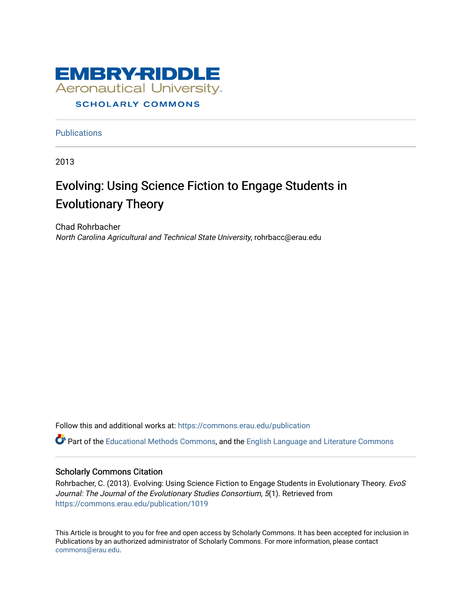

**Publications** 

2013

# Evolving: Using Science Fiction to Engage Students in Evolutionary Theory

Chad Rohrbacher North Carolina Agricultural and Technical State University, rohrbacc@erau.edu

Follow this and additional works at: [https://commons.erau.edu/publication](https://commons.erau.edu/publication?utm_source=commons.erau.edu%2Fpublication%2F1019&utm_medium=PDF&utm_campaign=PDFCoverPages) 

Part of the [Educational Methods Commons,](http://network.bepress.com/hgg/discipline/1227?utm_source=commons.erau.edu%2Fpublication%2F1019&utm_medium=PDF&utm_campaign=PDFCoverPages) and the [English Language and Literature Commons](http://network.bepress.com/hgg/discipline/455?utm_source=commons.erau.edu%2Fpublication%2F1019&utm_medium=PDF&utm_campaign=PDFCoverPages) 

#### Scholarly Commons Citation

Rohrbacher, C. (2013). Evolving: Using Science Fiction to Engage Students in Evolutionary Theory. EvoS Journal: The Journal of the Evolutionary Studies Consortium, 5(1). Retrieved from [https://commons.erau.edu/publication/1019](https://commons.erau.edu/publication/1019?utm_source=commons.erau.edu%2Fpublication%2F1019&utm_medium=PDF&utm_campaign=PDFCoverPages)

This Article is brought to you for free and open access by Scholarly Commons. It has been accepted for inclusion in Publications by an authorized administrator of Scholarly Commons. For more information, please contact [commons@erau.edu](mailto:commons@erau.edu).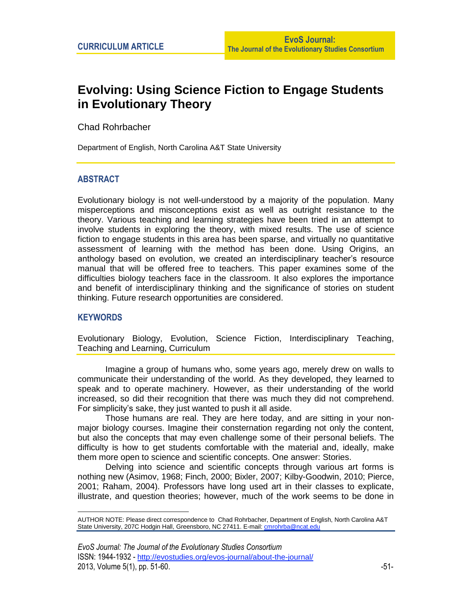# **Evolving: Using Science Fiction to Engage Students in Evolutionary Theory**

Chad Rohrbacher\*

Department of English, North Carolina A&T State University

# **ABSTRACT**

Evolutionary biology is not well-understood by a majority of the population. Many misperceptions and misconceptions exist as well as outright resistance to the theory. Various teaching and learning strategies have been tried in an attempt to involve students in exploring the theory, with mixed results. The use of science fiction to engage students in this area has been sparse, and virtually no quantitative assessment of learning with the method has been done. Using Origins, an anthology based on evolution, we created an interdisciplinary teacher's resource manual that will be offered free to teachers. This paper examines some of the difficulties biology teachers face in the classroom. It also explores the importance and benefit of interdisciplinary thinking and the significance of stories on student thinking. Future research opportunities are considered.

# **KEYWORDS**

 $\overline{a}$ 

Evolutionary Biology, Evolution, Science Fiction, Interdisciplinary Teaching, Teaching and Learning, Curriculum

Imagine a group of humans who, some years ago, merely drew on walls to communicate their understanding of the world. As they developed, they learned to speak and to operate machinery. However, as their understanding of the world increased, so did their recognition that there was much they did not comprehend. For simplicity's sake, they just wanted to push it all aside.

Those humans are real. They are here today, and are sitting in your nonmajor biology courses. Imagine their consternation regarding not only the content, but also the concepts that may even challenge some of their personal beliefs. The difficulty is how to get students comfortable with the material and, ideally, make them more open to science and scientific concepts. One answer: Stories.

Delving into science and scientific concepts through various art forms is nothing new (Asimov, 1968; Finch, 2000; Bixler, 2007; Kilby-Goodwin, 2010; Pierce, 2001; Raham, 2004). Professors have long used art in their classes to explicate, illustrate, and question theories; however, much of the work seems to be done in

AUTHOR NOTE: Please direct correspondence to Chad Rohrbacher, Department of English, North Carolina A&T State University, 207C Hodgin Hall, Greensboro, NC 27411. E-mail: *cmrohrba@ncat.edu*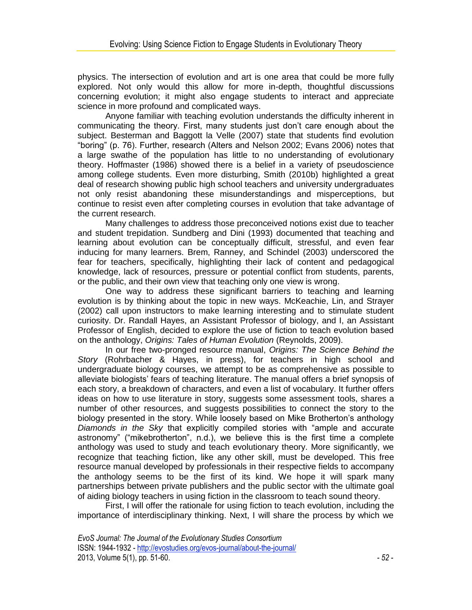physics. The intersection of evolution and art is one area that could be more fully explored. Not only would this allow for more in-depth, thoughtful discussions concerning evolution; it might also engage students to interact and appreciate science in more profound and complicated ways.

Anyone familiar with teaching evolution understands the difficulty inherent in communicating the theory. First, many students just don't care enough about the subject. Besterman and Baggott la Velle (2007) state that students find evolution "boring" (p. 76). Further, research (Alters and Nelson 2002; Evans 2006) notes that a large swathe of the population has little to no understanding of evolutionary theory. Hoffmaster (1986) showed there is a belief in a variety of pseudoscience among college students. Even more disturbing, Smith (2010b) highlighted a great deal of research showing public high school teachers and university undergraduates not only resist abandoning these misunderstandings and misperceptions, but continue to resist even after completing courses in evolution that take advantage of the current research.

Many challenges to address those preconceived notions exist due to teacher and student trepidation. Sundberg and Dini (1993) documented that teaching and learning about evolution can be conceptually difficult, stressful, and even fear inducing for many learners. Brem, Ranney, and Schindel (2003) underscored the fear for teachers, specifically, highlighting their lack of content and pedagogical knowledge, lack of resources, pressure or potential conflict from students, parents, or the public, and their own view that teaching only one view is wrong.

One way to address these significant barriers to teaching and learning evolution is by thinking about the topic in new ways. McKeachie, Lin, and Strayer (2002) call upon instructors to make learning interesting and to stimulate student curiosity. Dr. Randall Hayes, an Assistant Professor of biology, and I, an Assistant Professor of English, decided to explore the use of fiction to teach evolution based on the anthology, *Origins: Tales of Human Evolution* (Reynolds, 2009).

In our free two-pronged resource manual, *Origins: The Science Behind the Story* (Rohrbacher & Hayes, in press), for teachers in high school and undergraduate biology courses, we attempt to be as comprehensive as possible to alleviate biologists' fears of teaching literature. The manual offers a brief synopsis of each story, a breakdown of characters, and even a list of vocabulary. It further offers ideas on how to use literature in story, suggests some assessment tools, shares a number of other resources, and suggests possibilities to connect the story to the biology presented in the story. While loosely based on Mike Brotherton's anthology *Diamonds in the Sky* that explicitly compiled stories with "ample and accurate astronomy" ("mikebrotherton", n.d.), we believe this is the first time a complete anthology was used to study and teach evolutionary theory. More significantly, we recognize that teaching fiction, like any other skill, must be developed. This free resource manual developed by professionals in their respective fields to accompany the anthology seems to be the first of its kind. We hope it will spark many partnerships between private publishers and the public sector with the ultimate goal of aiding biology teachers in using fiction in the classroom to teach sound theory.

First, I will offer the rationale for using fiction to teach evolution, including the importance of interdisciplinary thinking. Next, I will share the process by which we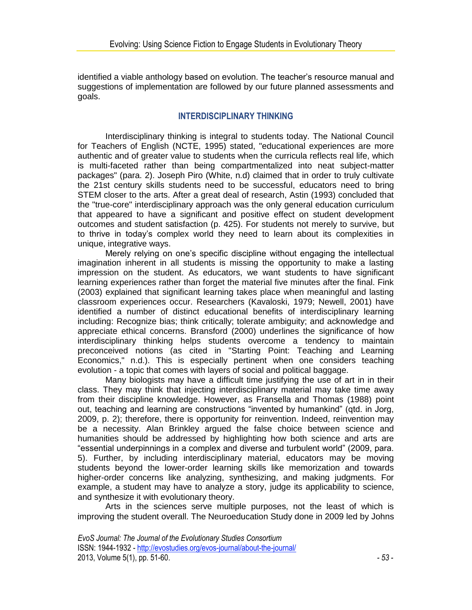identified a viable anthology based on evolution. The teacher's resource manual and suggestions of implementation are followed by our future planned assessments and goals.

# **INTERDISCIPLINARY THINKING**

Interdisciplinary thinking is integral to students today. The National Council for Teachers of English (NCTE, 1995) stated, "educational experiences are more authentic and of greater value to students when the curricula reflects real life, which is multi-faceted rather than being compartmentalized into neat subject-matter packages" (para. 2). Joseph Piro (White, n.d) claimed that in order to truly cultivate the 21st century skills students need to be successful, educators need to bring STEM closer to the arts. After a great deal of research, Astin (1993) concluded that the "true-core" interdisciplinary approach was the only general education curriculum that appeared to have a significant and positive effect on student development outcomes and student satisfaction (p. 425). For students not merely to survive, but to thrive in today's complex world they need to learn about its complexities in unique, integrative ways.

Merely relying on one's specific discipline without engaging the intellectual imagination inherent in all students is missing the opportunity to make a lasting impression on the student. As educators, we want students to have significant learning experiences rather than forget the material five minutes after the final. Fink (2003) explained that significant learning takes place when meaningful and lasting classroom experiences occur. Researchers (Kavaloski, 1979; Newell, 2001) have identified a number of distinct educational benefits of interdisciplinary learning including: Recognize bias; think critically; tolerate ambiguity; and acknowledge and appreciate ethical concerns. Bransford (2000) underlines the significance of how interdisciplinary thinking helps students overcome a tendency to maintain preconceived notions (as cited in "Starting Point: Teaching and Learning Economics," n.d.). This is especially pertinent when one considers teaching evolution - a topic that comes with layers of social and political baggage.

Many biologists may have a difficult time justifying the use of art in in their class. They may think that injecting interdisciplinary material may take time away from their discipline knowledge. However, as Fransella and Thomas (1988) point out, teaching and learning are constructions "invented by humankind" (qtd. in Jorg, 2009, p. 2); therefore, there is opportunity for reinvention. Indeed, reinvention may be a necessity. Alan Brinkley argued the false choice between science and humanities should be addressed by highlighting how both science and arts are "essential underpinnings in a complex and diverse and turbulent world" (2009, para. 5). Further, by including interdisciplinary material, educators may be moving students beyond the lower-order learning skills like memorization and towards higher-order concerns like analyzing, synthesizing, and making judgments. For example, a student may have to analyze a story, judge its applicability to science, and synthesize it with evolutionary theory.

Arts in the sciences serve multiple purposes, not the least of which is improving the student overall. The Neuroeducation Study done in 2009 led by Johns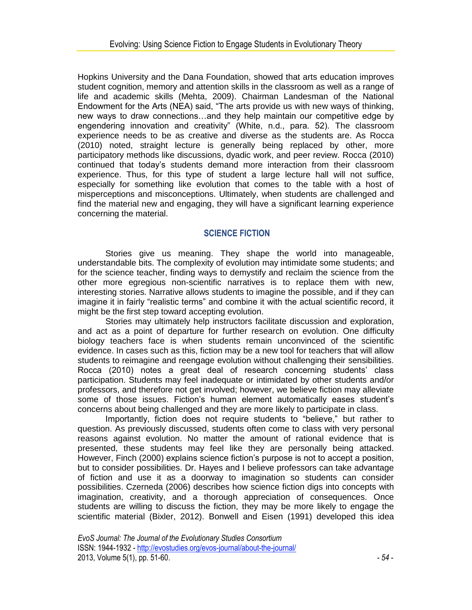Hopkins University and the Dana Foundation, showed that arts education improves student cognition, memory and attention skills in the classroom as well as a range of life and academic skills (Mehta, 2009). Chairman Landesman of the National Endowment for the Arts (NEA) said, "The arts provide us with new ways of thinking, new ways to draw connections…and they help maintain our competitive edge by engendering innovation and creativity" (White, n.d., para. 52). The classroom experience needs to be as creative and diverse as the students are. As Rocca (2010) noted, straight lecture is generally being replaced by other, more participatory methods like discussions, dyadic work, and peer review. Rocca (2010) continued that today's students demand more interaction from their classroom experience. Thus, for this type of student a large lecture hall will not suffice, especially for something like evolution that comes to the table with a host of misperceptions and misconceptions. Ultimately, when students are challenged and find the material new and engaging, they will have a significant learning experience concerning the material.

# **SCIENCE FICTION**

Stories give us meaning. They shape the world into manageable, understandable bits. The complexity of evolution may intimidate some students; and for the science teacher, finding ways to demystify and reclaim the science from the other more egregious non-scientific narratives is to replace them with new, interesting stories. Narrative allows students to imagine the possible, and if they can imagine it in fairly "realistic terms" and combine it with the actual scientific record, it might be the first step toward accepting evolution.

Stories may ultimately help instructors facilitate discussion and exploration, and act as a point of departure for further research on evolution. One difficulty biology teachers face is when students remain unconvinced of the scientific evidence. In cases such as this, fiction may be a new tool for teachers that will allow students to reimagine and reengage evolution without challenging their sensibilities. Rocca (2010) notes a great deal of research concerning students' class participation. Students may feel inadequate or intimidated by other students and/or professors, and therefore not get involved; however, we believe fiction may alleviate some of those issues. Fiction's human element automatically eases student's concerns about being challenged and they are more likely to participate in class.

Importantly, fiction does not require students to "believe," but rather to question. As previously discussed, students often come to class with very personal reasons against evolution. No matter the amount of rational evidence that is presented, these students may feel like they are personally being attacked. However, Finch (2000) explains science fiction's purpose is not to accept a position, but to consider possibilities. Dr. Hayes and I believe professors can take advantage of fiction and use it as a doorway to imagination so students can consider possibilities. Czerneda (2006) describes how science fiction digs into concepts with imagination, creativity, and a thorough appreciation of consequences. Once students are willing to discuss the fiction, they may be more likely to engage the scientific material (Bixler, 2012). Bonwell and Eisen (1991) developed this idea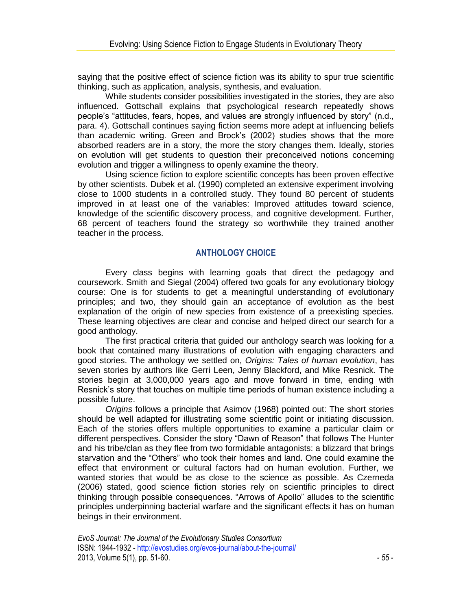saying that the positive effect of science fiction was its ability to spur true scientific thinking, such as application, analysis, synthesis, and evaluation.

While students consider possibilities investigated in the stories, they are also influenced. Gottschall explains that psychological research repeatedly shows people's "attitudes, fears, hopes, and values are strongly influenced by story" (n.d., para. 4). Gottschall continues saying fiction seems more adept at influencing beliefs than academic writing. Green and Brock's (2002) studies shows that the more absorbed readers are in a story, the more the story changes them. Ideally, stories on evolution will get students to question their preconceived notions concerning evolution and trigger a willingness to openly examine the theory.

Using science fiction to explore scientific concepts has been proven effective by other scientists. Dubek et al. (1990) completed an extensive experiment involving close to 1000 students in a controlled study. They found 80 percent of students improved in at least one of the variables: Improved attitudes toward science, knowledge of the scientific discovery process, and cognitive development. Further, 68 percent of teachers found the strategy so worthwhile they trained another teacher in the process.

# **ANTHOLOGY CHOICE**

Every class begins with learning goals that direct the pedagogy and coursework. Smith and Siegal (2004) offered two goals for any evolutionary biology course: One is for students to get a meaningful understanding of evolutionary principles; and two, they should gain an acceptance of evolution as the best explanation of the origin of new species from existence of a preexisting species. These learning objectives are clear and concise and helped direct our search for a good anthology.

The first practical criteria that guided our anthology search was looking for a book that contained many illustrations of evolution with engaging characters and good stories. The anthology we settled on, *Origins: Tales of human evolution*, has seven stories by authors like Gerri Leen, Jenny Blackford, and Mike Resnick. The stories begin at 3,000,000 years ago and move forward in time, ending with Resnick's story that touches on multiple time periods of human existence including a possible future.

*Origins* follows a principle that Asimov (1968) pointed out: The short stories should be well adapted for illustrating some scientific point or initiating discussion. Each of the stories offers multiple opportunities to examine a particular claim or different perspectives. Consider the story "Dawn of Reason" that follows The Hunter and his tribe/clan as they flee from two formidable antagonists: a blizzard that brings starvation and the "Others" who took their homes and land. One could examine the effect that environment or cultural factors had on human evolution. Further, we wanted stories that would be as close to the science as possible. As Czerneda (2006) stated, good science fiction stories rely on scientific principles to direct thinking through possible consequences. "Arrows of Apollo" alludes to the scientific principles underpinning bacterial warfare and the significant effects it has on human beings in their environment.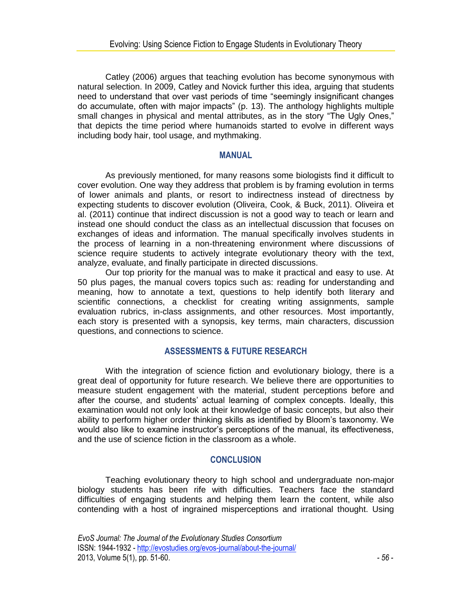Catley (2006) argues that teaching evolution has become synonymous with natural selection. In 2009, Catley and Novick further this idea, arguing that students need to understand that over vast periods of time "seemingly insignificant changes do accumulate, often with major impacts" (p. 13). The anthology highlights multiple small changes in physical and mental attributes, as in the story "The Ugly Ones," that depicts the time period where humanoids started to evolve in different ways including body hair, tool usage, and mythmaking.

#### **MANUAL**

As previously mentioned, for many reasons some biologists find it difficult to cover evolution. One way they address that problem is by framing evolution in terms of lower animals and plants, or resort to indirectness instead of directness by expecting students to discover evolution (Oliveira, Cook, & Buck, 2011). Oliveira et al. (2011) continue that indirect discussion is not a good way to teach or learn and instead one should conduct the class as an intellectual discussion that focuses on exchanges of ideas and information. The manual specifically involves students in the process of learning in a non-threatening environment where discussions of science require students to actively integrate evolutionary theory with the text, analyze, evaluate, and finally participate in directed discussions.

Our top priority for the manual was to make it practical and easy to use. At 50 plus pages, the manual covers topics such as: reading for understanding and meaning, how to annotate a text, questions to help identify both literary and scientific connections, a checklist for creating writing assignments, sample evaluation rubrics, in-class assignments, and other resources. Most importantly, each story is presented with a synopsis, key terms, main characters, discussion questions, and connections to science.

# **ASSESSMENTS & FUTURE RESEARCH**

With the integration of science fiction and evolutionary biology, there is a great deal of opportunity for future research. We believe there are opportunities to measure student engagement with the material, student perceptions before and after the course, and students' actual learning of complex concepts. Ideally, this examination would not only look at their knowledge of basic concepts, but also their ability to perform higher order thinking skills as identified by Bloom's taxonomy. We would also like to examine instructor's perceptions of the manual, its effectiveness, and the use of science fiction in the classroom as a whole.

# **CONCLUSION**

Teaching evolutionary theory to high school and undergraduate non-major biology students has been rife with difficulties. Teachers face the standard difficulties of engaging students and helping them learn the content, while also contending with a host of ingrained misperceptions and irrational thought. Using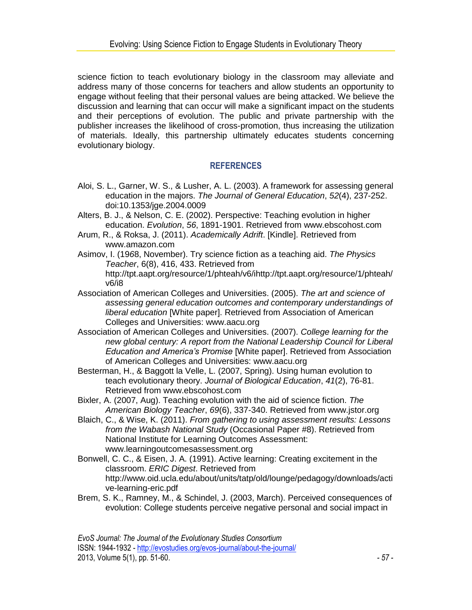science fiction to teach evolutionary biology in the classroom may alleviate and address many of those concerns for teachers and allow students an opportunity to engage without feeling that their personal values are being attacked. We believe the discussion and learning that can occur will make a significant impact on the students and their perceptions of evolution. The public and private partnership with the publisher increases the likelihood of cross-promotion, thus increasing the utilization of materials. Ideally, this partnership ultimately educates students concerning evolutionary biology.

# **REFERENCES**

- Aloi, S. L., Garner, W. S., & Lusher, A. L. (2003). A framework for assessing general education in the majors. *The Journal of General Education*, *52*(4), 237-252. doi:10.1353/jge.2004.0009
- Alters, B. J., & Nelson, C. E. (2002). Perspective: Teaching evolution in higher education. *Evolution*, *56*, 1891-1901. Retrieved from www.ebscohost.com
- Arum, R., & Roksa, J. (2011). *Academically Adrift*. [Kindle]. Retrieved from www.amazon.com
- Asimov, I. (19*6*8, November). Try science fiction as a teaching aid. *The Physics Teacher*, 6(8), 416, 433. Retrieved from http://tpt.aapt.org/resource/1/phteah/v6/ihttp://tpt.aapt.org/resource/1/phteah/ v6/i8
- Association of American Colleges and Universities. (2005). *The art and science of assessing general education outcomes and contemporary understandings of liberal education* [White paper]. Retrieved from Association of American Colleges and Universities: www.aacu.org
- Association of American Colleges and Universities. (2007). *College learning for the new global century: A report from the National Leadership Council for Liberal Education and America's Promise* [White paper]. Retrieved from Association of American Colleges and Universities: www.aacu.org
- Besterman, H., & Baggott la Velle, L. (2007, Spring). Using human evolution to teach evolutionary theory. *Journal of Biological Education*, *41*(2), 76-81. Retrieved from www.ebscohost.com
- Bixler, A. (2007, Aug). Teaching evolution with the aid of science fiction. *The American Biology Teacher*, *69*(6), 337-340. Retrieved from www.jstor.org
- Blaich, C., & Wise, K. (2011). *From gathering to using assessment results: Lessons from the Wabash National Study* (Occasional Paper #8). Retrieved from National Institute for Learning Outcomes Assessment: www.learningoutcomesassessment.org
- Bonwell, C. C., & Eisen, J. A. (1991). Active learning: Creating excitement in the classroom. *ERIC Digest*. Retrieved from http://www.oid.ucla.edu/about/units/tatp/old/lounge/pedagogy/downloads/acti ve-learning-eric.pdf
- Brem, S. K., Ramney, M., & Schindel, J. (2003, March). Perceived consequences of evolution: College students perceive negative personal and social impact in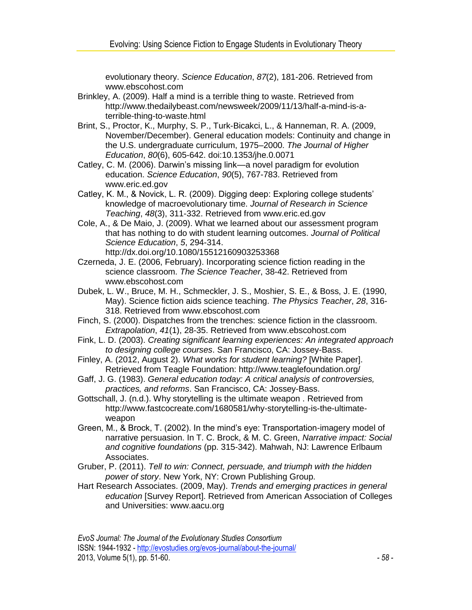evolutionary theory. *Science Education*, *87*(2), 181-206. Retrieved from www.ebscohost.com

- Brinkley, A. (2009). Half a mind is a terrible thing to waste. Retrieved from http://www.thedailybeast.com/newsweek/2009/11/13/half-a-mind-is-aterrible-thing-to-waste.html
- Brint, S., Proctor, K., Murphy, S. P., Turk-Bicakci, L., & Hanneman, R. A. (2009, November/December). General education models: Continuity and change in the U.S. undergraduate curriculum, 1975–2000. *The Journal of Higher Education*, *80*(6), 605-642. doi:10.1353/jhe.0.0071
- Catley, C. M. (2006). Darwin's missing link—a novel paradigm for evolution education. *Science Education*, *90*(5), 767-783. Retrieved from www.eric.ed.gov
- Catley, K. M., & Novick, L. R. (2009). Digging deep: Exploring college students' knowledge of macroevolutionary time. *Journal of Research in Science Teaching*, *48*(3), 311-332. Retrieved from www.eric.ed.gov
- Cole, A., & De Maio, J. (2009). What we learned about our assessment program that has nothing to do with student learning outcomes. *Journal of Political Science Education*, *5*, 294-314. http://dx.doi.org/10.1080/15512160903253368
- Czerneda, J. E. (2006, February). Incorporating science fiction reading in the science classroom. *The Science Teacher*, 38-42. Retrieved from www.ebscohost.com
- Dubek, L. W., Bruce, M. H., Schmeckler, J. S., Moshier, S. E., & Boss, J. E. (1990, May). Science fiction aids science teaching. *The Physics Teacher*, *28*, 316- 318. Retrieved from www.ebscohost.com
- Finch, S. (2000). Dispatches from the trenches: science fiction in the classroom. *Extrapolation*, *41*(1), 28-35. Retrieved from www.ebscohost.com
- Fink, L. D. (2003). *Creating significant learning experiences: An integrated approach to designing college courses*. San Francisco, CA: Jossey-Bass.
- Finley, A. (2012, August 2). *What works for student learning?* [White Paper]. Retrieved from Teagle Foundation: http://www.teaglefoundation.org/
- Gaff, J. G. (1983). *General education today: A critical analysis of controversies, practices, and reforms*. San Francisco, CA: Jossey-Bass.
- Gottschall, J. (n.d.). Why storytelling is the ultimate weapon . Retrieved from http://www.fastcocreate.com/1680581/why-storytelling-is-the-ultimateweapon
- Green, M., & Brock, T. (2002). In the mind's eye: Transportation-imagery model of narrative persuasion. In T. C. Brock, & M. C. Green, *Narrative impact: Social and cognitive foundations* (pp. 315-342). Mahwah, NJ: Lawrence Erlbaum Associates.
- Gruber, P. (2011). *Tell to win: Connect, persuade, and triumph with the hidden power of story*. New York, NY: Crown Publishing Group.
- Hart Research Associates. (2009, May). *Trends and emerging practices in general education* [Survey Report]. Retrieved from American Association of Colleges and Universities: www.aacu.org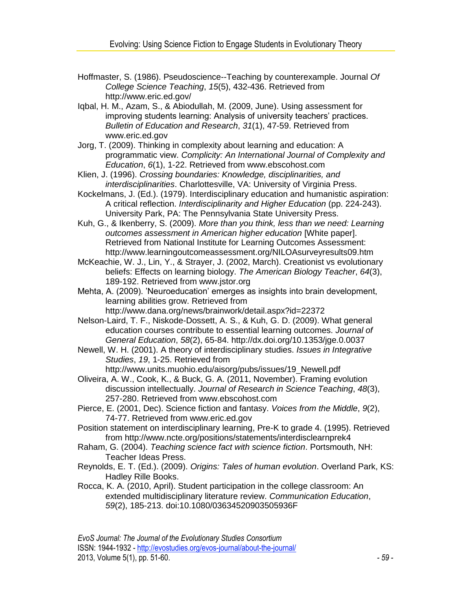- Hoffmaster, S. (1986). Pseudoscience--Teaching by counterexample. Journal *Of College Science Teaching*, *15*(5), 432-436. Retrieved from http://www.eric.ed.gov/
- Iqbal, H. M., Azam, S., & Abiodullah, M. (2009, June). Using assessment for improving students learning: Analysis of university teachers' practices. *Bulletin of Education and Research*, *31*(1), 47-59. Retrieved from www.eric.ed.gov
- Jorg, T. (2009). Thinking in complexity about learning and education: A programmatic view. *Complicity: An International Journal of Complexity and Education*, *6*(1), 1-22. Retrieved from www.ebscohost.com

Klien, J. (1996). *Crossing boundaries: Knowledge, disciplinarities, and interdisciplinarities*. Charlottesville, VA: University of Virginia Press.

Kockelmans, J. (Ed.). (1979). Interdisciplinary education and humanistic aspiration: A critical reflection. *Interdisciplinarity and Higher Education* (pp. 224-243). University Park, PA: The Pennsylvania State University Press.

Kuh, G., & Ikenberry, S. (2009). *More than you think, less than we need: Learning outcomes assessment in American higher education* [White paper]. Retrieved from National Institute for Learning Outcomes Assessment: http://www.learningoutcomeassessment.org/NILOAsurveyresults09.htm

McKeachie, W. J., Lin, Y., & Strayer, J. (2002, March). Creationist vs evolutionary beliefs: Effects on learning biology. *The American Biology Teacher*, *64*(3), 189-192. Retrieved from www.jstor.org

Mehta, A. (2009). 'Neuroeducation' emerges as insights into brain development, learning abilities grow. Retrieved from http://www.dana.org/news/brainwork/detail.aspx?id=22372

Nelson-Laird, T. F., Niskode-Dossett, A. S., & Kuh, G. D. (2009). What general education courses contribute to essential learning outcomes. *Journal of General Education*, *58*(2), 65-84. http://dx.doi.org/10.1353/jge.0.0037

Newell, W. H. (2001). A theory of interdisciplinary studies. *Issues in Integrative Studies*, *19*, 1-25. Retrieved from http://www.units.muohio.edu/aisorg/pubs/issues/19\_Newell.pdf

Oliveira, A. W., Cook, K., & Buck, G. A. (2011, November). Framing evolution discussion intellectually. *Journal of Research in Science Teaching*, *48*(3), 257-280. Retrieved from www.ebscohost.com

Pierce, E. (2001, Dec). Science fiction and fantasy. *Voices from the Middle*, *9*(2), 74-77. Retrieved from www.eric.ed.gov

Position statement on interdisciplinary learning, Pre-K to grade 4. (1995). Retrieved from http://www.ncte.org/positions/statements/interdisclearnprek4

- Raham, G. (2004). *Teaching science fact with science fiction*. Portsmouth, NH: Teacher Ideas Press.
- Reynolds, E. T. (Ed.). (2009). *Origins: Tales of human evolution*. Overland Park, KS: Hadley Rille Books.
- Rocca, K. A. (2010, April). Student participation in the college classroom: An extended multidisciplinary literature review. *Communication Education*, *59*(2), 185-213. doi:10.1080/03634520903505936F